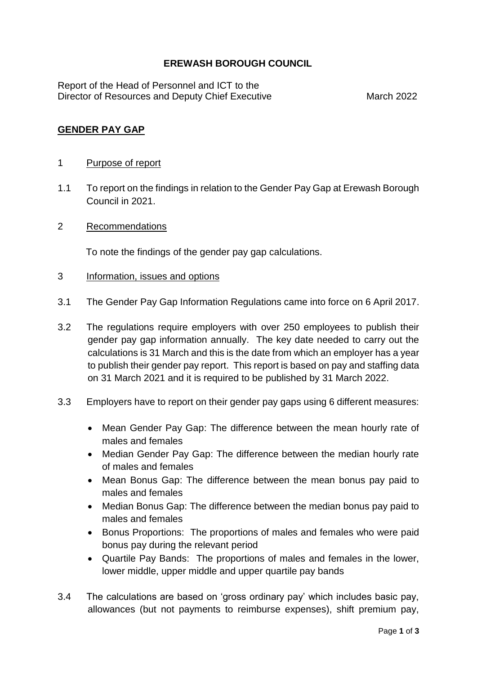## **EREWASH BOROUGH COUNCIL**

Report of the Head of Personnel and ICT to the Director of Resources and Deputy Chief Executive March 2022

### **GENDER PAY GAP**

#### 1 Purpose of report

- 1.1 To report on the findings in relation to the Gender Pay Gap at Erewash Borough Council in 2021.
- 2 Recommendations

To note the findings of the gender pay gap calculations.

- 3 Information, issues and options
- 3.1 The Gender Pay Gap Information Regulations came into force on 6 April 2017.
- 3.2 The regulations require employers with over 250 employees to publish their gender pay gap information annually. The key date needed to carry out the calculations is 31 March and this is the date from which an employer has a year to publish their gender pay report. This report is based on pay and staffing data on 31 March 2021 and it is required to be published by 31 March 2022.
- 3.3 Employers have to report on their gender pay gaps using 6 different measures:
	- Mean Gender Pay Gap: The difference between the mean hourly rate of males and females
	- Median Gender Pay Gap: The difference between the median hourly rate of males and females
	- Mean Bonus Gap: The difference between the mean bonus pay paid to males and females
	- Median Bonus Gap: The difference between the median bonus pay paid to males and females
	- Bonus Proportions: The proportions of males and females who were paid bonus pay during the relevant period
	- Quartile Pay Bands: The proportions of males and females in the lower, lower middle, upper middle and upper quartile pay bands
- 3.4 The calculations are based on 'gross ordinary pay' which includes basic pay, allowances (but not payments to reimburse expenses), shift premium pay,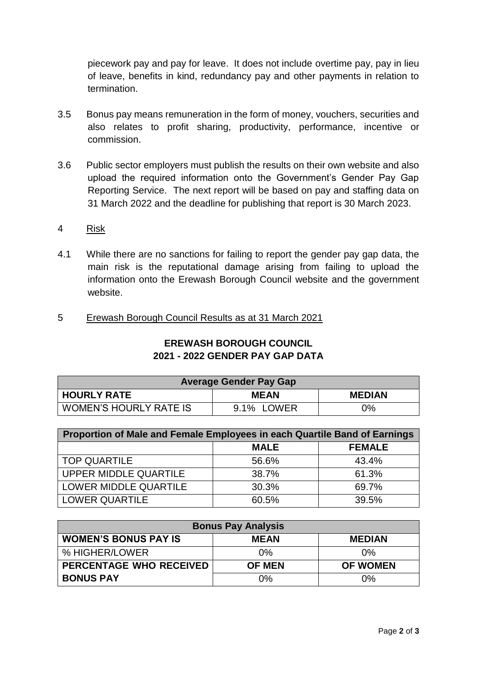piecework pay and pay for leave. It does not include overtime pay, pay in lieu of leave, benefits in kind, redundancy pay and other payments in relation to termination.

- 3.5 Bonus pay means remuneration in the form of money, vouchers, securities and also relates to profit sharing, productivity, performance, incentive or commission.
- 3.6 Public sector employers must publish the results on their own website and also upload the required information onto the Government's Gender Pay Gap Reporting Service. The next report will be based on pay and staffing data on 31 March 2022 and the deadline for publishing that report is 30 March 2023.

#### 4 Risk

- 4.1 While there are no sanctions for failing to report the gender pay gap data, the main risk is the reputational damage arising from failing to upload the information onto the Erewash Borough Council website and the government website.
- 5 Erewash Borough Council Results as at 31 March 2021

| <b>Average Gender Pay Gap</b> |             |               |  |
|-------------------------------|-------------|---------------|--|
| <b>HOURLY RATE</b>            | <b>MEAN</b> | <b>MEDIAN</b> |  |
| <b>WOMEN'S HOURLY RATE IS</b> | 9.1% LOWER  | 0%            |  |

| Proportion of Male and Female Employees in each Quartile Band of Earnings |             |               |  |
|---------------------------------------------------------------------------|-------------|---------------|--|
|                                                                           | <b>MALE</b> | <b>FEMALE</b> |  |
| TOP QUARTILE                                                              | 56.6%       | 43.4%         |  |
| UPPER MIDDLE QUARTILE                                                     | 38.7%       | 61.3%         |  |
| LOWER MIDDLE QUARTILE                                                     | 30.3%       | 69.7%         |  |
| <b>LOWER QUARTILE</b>                                                     | 60.5%       | 39.5%         |  |

| <b>Bonus Pay Analysis</b>      |               |                 |  |
|--------------------------------|---------------|-----------------|--|
| <b>WOMEN'S BONUS PAY IS</b>    | <b>MEAN</b>   | <b>MEDIAN</b>   |  |
| % HIGHER/LOWER                 | $0\%$         | $0\%$           |  |
| <b>PERCENTAGE WHO RECEIVED</b> | <b>OF MEN</b> | <b>OF WOMEN</b> |  |
| <b>BONUS PAY</b>               | $0\%$         | 0%              |  |

# **EREWASH BOROUGH COUNCIL 2021 - 2022 GENDER PAY GAP DATA**